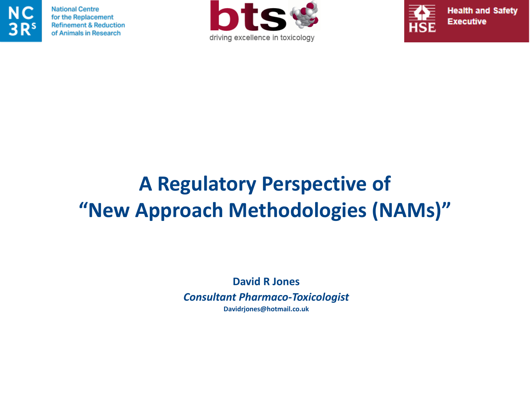

**National Centre** for the Replacement **Refinement & Reduction** of Animals in Research





**Health and Safety** 

### **A Regulatory Perspective of "New Approach Methodologies (NAMs)"**

**David R Jones** *Consultant Pharmaco-Toxicologist* **Davidrjones@hotmail.co.uk**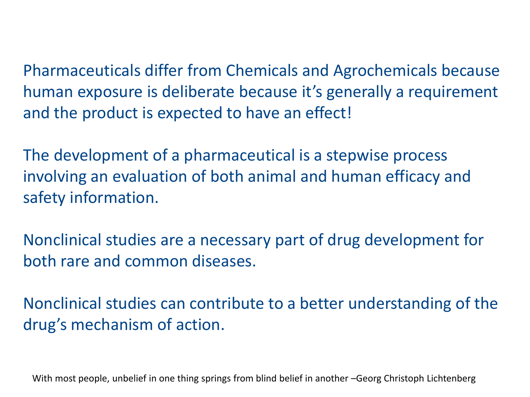Pharmaceuticals differ from Chemicals and Agrochemicals because human exposure is deliberate because it's generally a requirement and the product is expected to have an effect!

The development of a pharmaceutical is a stepwise process involving an evaluation of both animal and human efficacy and safety information.

Nonclinical studies are a necessary part of drug development for both rare and common diseases.

Nonclinical studies can contribute to a better understanding of the drug's mechanism of action.

With most people, unbelief in one thing springs from blind belief in another -Georg Christoph Lichtenberg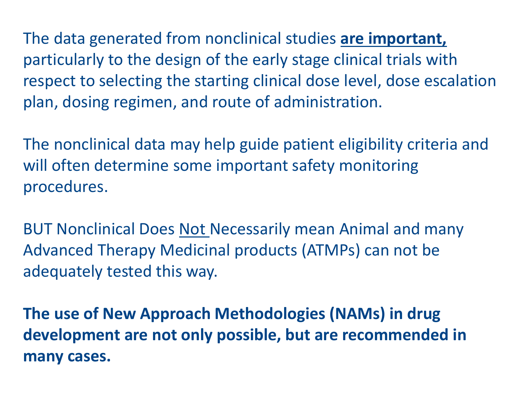The data generated from nonclinical studies **are important,** particularly to the design of the early stage clinical trials with respect to selecting the starting clinical dose level, dose escalation plan, dosing regimen, and route of administration.

The nonclinical data may help guide patient eligibility criteria and will often determine some important safety monitoring procedures.

BUT Nonclinical Does Not Necessarily mean Animal and many Advanced Therapy Medicinal products (ATMPs) can not be adequately tested this way.

**The use of New Approach Methodologies (NAMs) in drug development are not only possible, but are recommended in many cases.**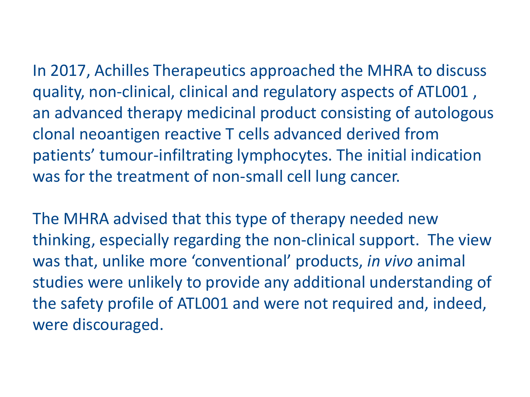In 2017, Achilles Therapeutics approached the MHRA to discuss quality, non-clinical, clinical and regulatory aspects of ATL001 , an advanced therapy medicinal product consisting of autologous clonal neoantigen reactive T cells advanced derived from patients' tumour-infiltrating lymphocytes. The initial indication was for the treatment of non-small cell lung cancer.

The MHRA advised that this type of therapy needed new thinking, especially regarding the non-clinical support. The view was that, unlike more 'conventional' products, *in vivo* animal studies were unlikely to provide any additional understanding of the safety profile of ATL001 and were not required and, indeed, were discouraged.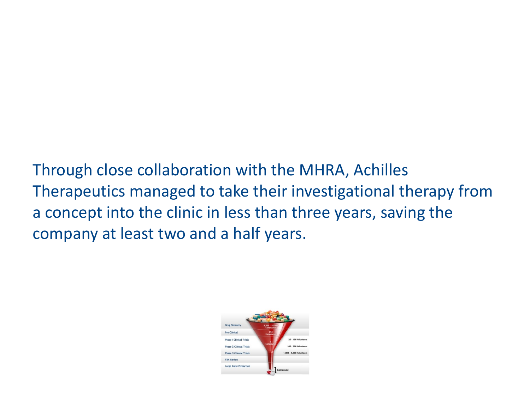Through close collaboration with the MHRA, Achilles Therapeutics managed to take their investigational therapy from a concept into the clinic in less than three years, saving the company at least two and a half years.

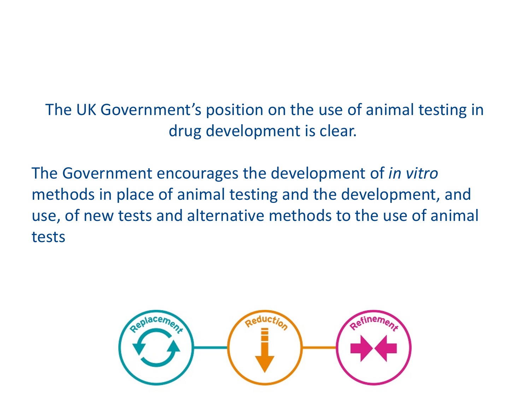The UK Government's position on the use of animal testing in drug development is clear.

The Government encourages the development of *in vitro* methods in place of animal testing and the development, and use, of new tests and alternative methods to the use of animal tests

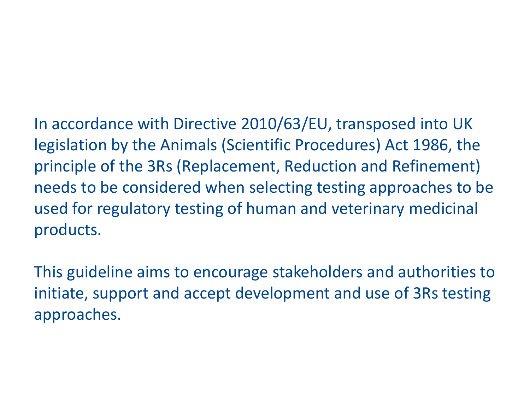In accordance with Directive 2010/63/EU, transposed into UK legislation by the Animals (Scientific Procedures) Act 1986, the principle of the 3Rs (Replacement, Reduction and Refinement) needs to be considered when selecting testing approaches to be used for regulatory testing of human and veterinary medicinal products.

This guideline aims to encourage stakeholders and authorities to initiate, support and accept development and use of 3Rs testing approaches.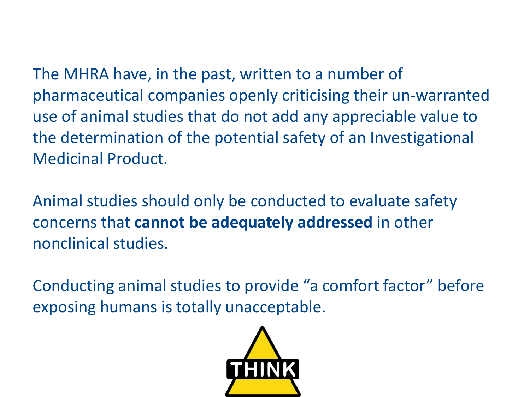The MHRA have, in the past, written to a number of pharmaceutical companies openly criticising their un-warranted use of animal studies that do not add any appreciable value to the determination of the potential safety of an Investigational Medicinal Product.

Animal studies should only be conducted to evaluate safety concerns that **cannot be adequately addressed** in other nonclinical studies.

Conducting animal studies to provide "a comfort factor" before exposing humans is totally unacceptable.

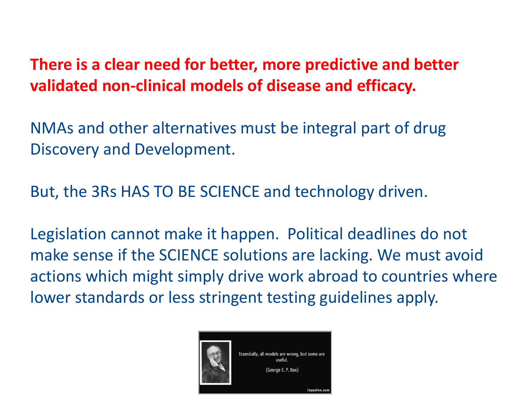### **There is a clear need for better, more predictive and better validated non-clinical models of disease and efficacy.**

NMAs and other alternatives must be integral part of drug Discovery and Development.

But, the 3Rs HAS TO BE SCIENCE and technology driven.

Legislation cannot make it happen. Political deadlines do not make sense if the SCIENCE solutions are lacking. We must avoid actions which might simply drive work abroad to countries where lower standards or less stringent testing guidelines apply.

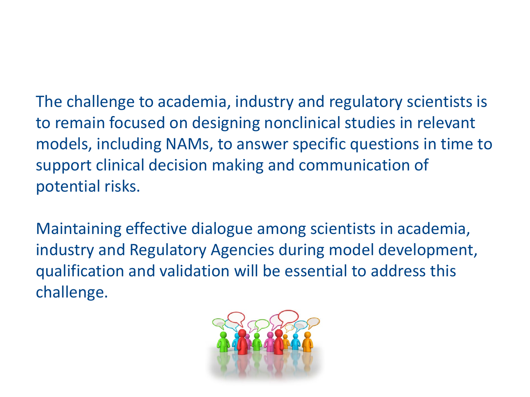The challenge to academia, industry and regulatory scientists is to remain focused on designing nonclinical studies in relevant models, including NAMs, to answer specific questions in time to support clinical decision making and communication of potential risks.

Maintaining effective dialogue among scientists in academia, industry and Regulatory Agencies during model development, qualification and validation will be essential to address this challenge.

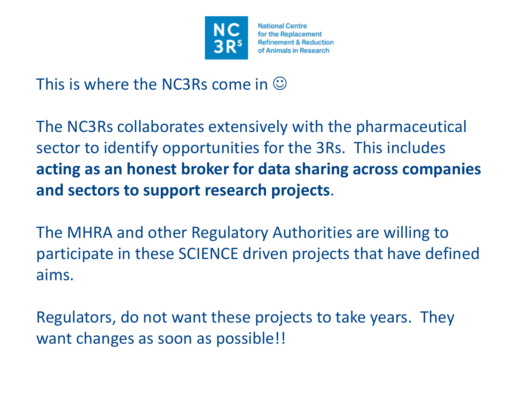

**National Centre** for the Replacement **Refinement & Reduction** of Animals in Research

This is where the NC3Rs come in  $\odot$ 

The NC3Rs collaborates extensively with the pharmaceutical sector to identify opportunities for the 3Rs. This includes **acting as an honest broker for data sharing across companies and sectors to support research projects**.

The MHRA and other Regulatory Authorities are willing to participate in these SCIENCE driven projects that have defined aims.

Regulators, do not want these projects to take years. They want changes as soon as possible!!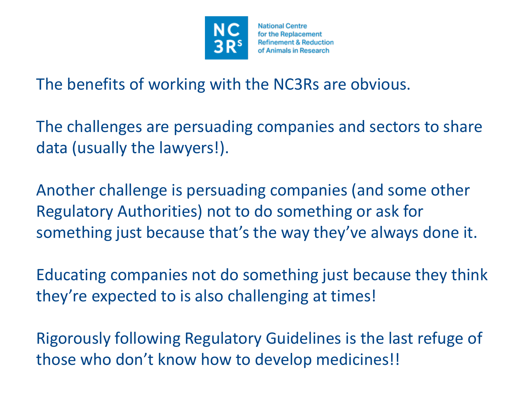

**National Centre** for the Replacement **Refinement & Reduction** of Animals in Research

The benefits of working with the NC3Rs are obvious.

The challenges are persuading companies and sectors to share data (usually the lawyers!).

Another challenge is persuading companies (and some other Regulatory Authorities) not to do something or ask for something just because that's the way they've always done it.

Educating companies not do something just because they think they're expected to is also challenging at times!

Rigorously following Regulatory Guidelines is the last refuge of those who don't know how to develop medicines!!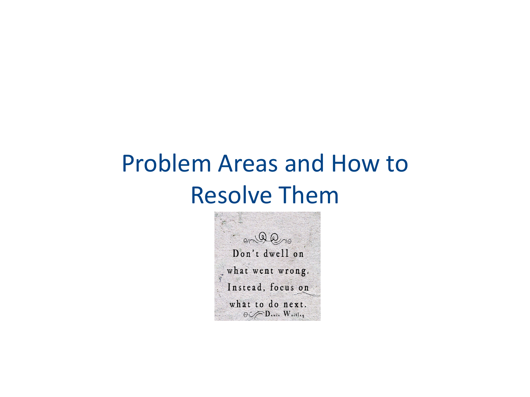## Problem Areas and How to Resolve Them

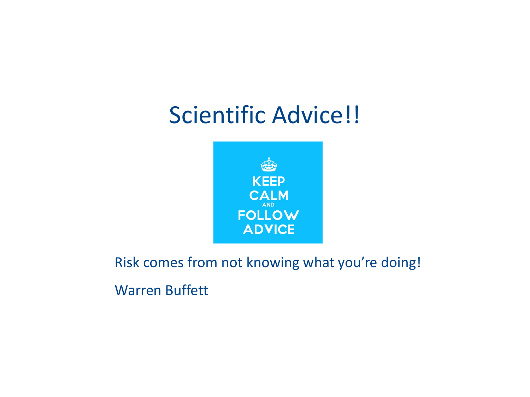## Scientific Advice!!



Risk comes from not knowing what you're doing!

Warren Buffett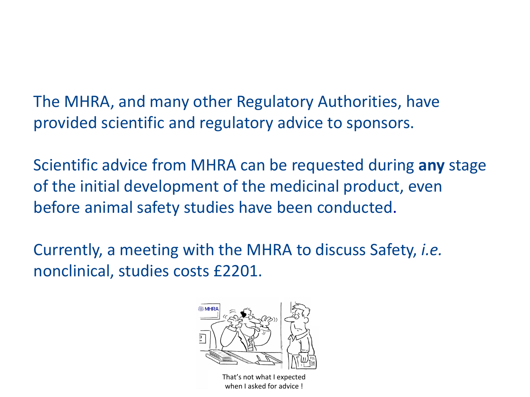The MHRA, and many other Regulatory Authorities, have provided scientific and regulatory advice to sponsors.

Scientific advice from MHRA can be requested during **any** stage of the initial development of the medicinal product, even before animal safety studies have been conducted.

Currently, a meeting with the MHRA to discuss Safety, *i.e.* nonclinical, studies costs £2201.



That's not what I expected when I asked for advice !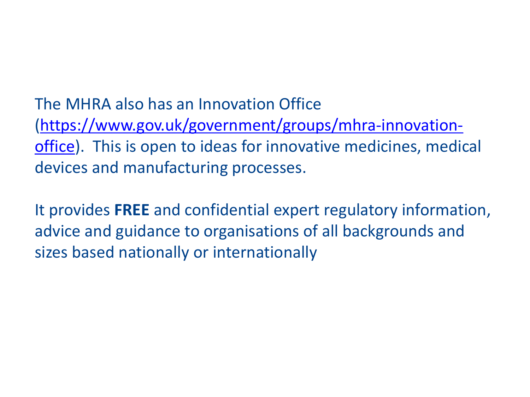The MHRA also has an Innovation Office [\(https://www.gov.uk/government/groups/mhra-innovation](https://www.gov.uk/government/groups/mhra-innovation-office)office). This is open to ideas for innovative medicines, medical devices and manufacturing processes.

It provides **FREE** and confidential expert regulatory information, advice and guidance to organisations of all backgrounds and sizes based nationally or internationally